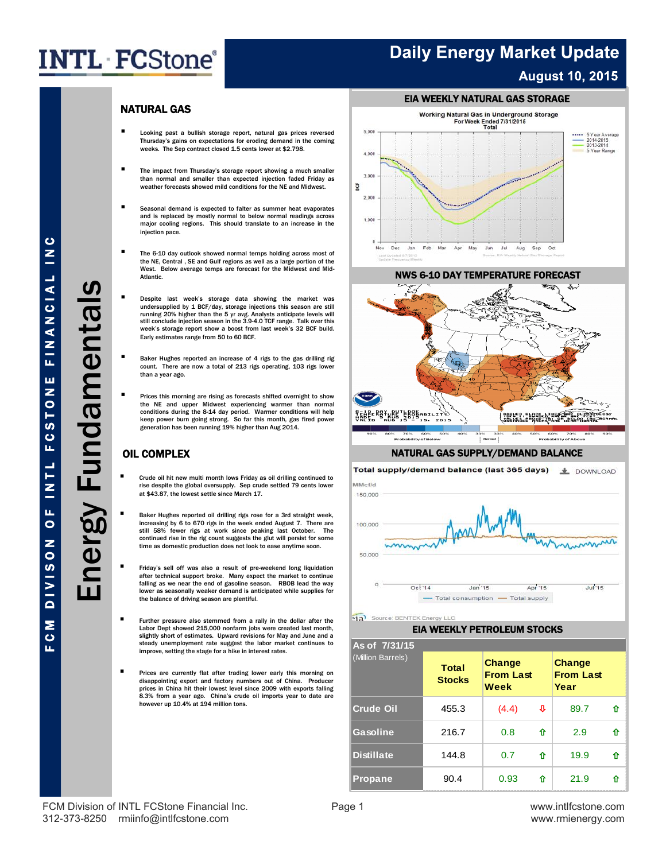## **Daily Energy Market Update August 10, 2015**

### NATURAL GAS

- Looking past a bullish storage report, natural gas prices reversed Thursday's gains on expectations for eroding demand in the coming weeks. The Sep contract closed 1.5 cents lower at \$2.798.
- The impact from Thursday's storage report showing a much smaller than normal and smaller than expected injection faded Friday as weather forecasts showed mild conditions for the NE and Midwest.
- Seasonal demand is expected to falter as summer heat evaporates and is replaced by mostly normal to below normal readings across major cooling regions. This should translate to an increase in the injection pace.
- The 6-10 day outlook showed normal temps holding across most of the NE, Central , SE and Gulf regions as well as a large portion of the West. Below average temps are forecast for the Midwest and Mid-Atlantic.
- Despite last week's storage data showing the market was undersupplied by 1 BCF/day, storage injections this season are still running 20% higher than the 5 yr avg. Analysts anticipate levels will still conclude injection season in the 3.9-4.0 TCF range. Talk over this week's storage report show a boost from last week's 32 BCF build. Early estimates range from 50 to 60 BCF.
- Baker Hughes reported an increase of 4 rigs to the gas drilling rig count. There are now a total of 213 rigs operating, 103 rigs lower than a year ago.
- Prices this morning are rising as forecasts shifted overnight to show the NE and upper Midwest experiencing warmer than normal conditions during the 8-14 day period. Warmer conditions will help keep power burn going strong. So far this month, gas fired power generation has been running 19% higher than Aug 2014.

### OIL COMPLEX

- Crude oil hit new multi month lows Friday as oil drilling continued to rise despite the global oversupply. Sep crude settled 79 cents lower at \$43.87, the lowest settle since March 17.
- Baker Hughes reported oil drilling rigs rose for a 3rd straight week, increasing by 6 to 670 rigs in the week ended August 7. There are still 58% fewer rigs at work since peaking last October. The continued rise in the rig count suggests the glut will persist for some time as domestic production does not look to ease anytime soon.
- Friday's sell off was also a result of pre-weekend long liquidation after technical support broke. Many expect the market to continue falling as we near the end of gasoline season. RBOB lead the way lower as seasonally weaker demand is anticipated while supplies for the balance of driving season are plentiful.
- **Further pressure also stemmed from a rally in the dollar after the** Labor Dept showed 215,000 nonfarm jobs were created last month, slightly short of estimates. Upward revisions for May and June and a steady unemployment rate suggest the labor market continues to improve, setting the stage for a hike in interest rates.
- **Prices are currently flat after trading lower early this morning on** disappointing export and factory numbers out of China. Producer in China hit their lowest level since 2009 with exports falling 8.3% from a year ago. China's crude oil imports year to date are however up 10.4% at 194 million tons.



#### NWS 6-10 DAY TEMPERATURE FORECAST



#### NATURAL GAS SUPPLY/DEMAND BALANCE





 $\mathbf{a}$ Source: BENTE

#### EIA WEEKLY PETROLEUM STOCKS

| As of 7/31/15     |                               |                                           |   |                                    |   |  |  |  |  |  |
|-------------------|-------------------------------|-------------------------------------------|---|------------------------------------|---|--|--|--|--|--|
| (Million Barrels) | <b>Total</b><br><b>Stocks</b> | Change<br><b>From Last</b><br><b>Week</b> |   | Change<br><b>From Last</b><br>Year |   |  |  |  |  |  |
| Crude Oil         | 455.3                         | (4.4)                                     | ⇩ | 89.7                               | ⇑ |  |  |  |  |  |
| Gasoline          | 216.7                         | 0.8                                       | ⇑ | 2.9                                | ⇧ |  |  |  |  |  |
| <b>Distillate</b> | 144.8                         | 0.7                                       | ⇧ | 19.9                               | ⇧ |  |  |  |  |  |
| <b>Propane</b>    | 90.4                          | 0.93                                      | ⇑ | 21.9                               |   |  |  |  |  |  |

FCM Division of INTL FCStone Financial Inc. **Page 1** Page 1 www.intlfcstone.com 312-373-8250 rmiinfo@intlfcstone.com www.rmienergy.com

F C M D I V I A N A N A N L L I N T L H L O N O N O SOSTATO DE L  $\bar{z}$ FINANCIAL ш **FCSTON**  $\frac{1}{1}$ u,  $\bullet$ **NOSINIO** M C

ū.

 $\bullet$ 

Energy Fundamentals

Energy Fundamentals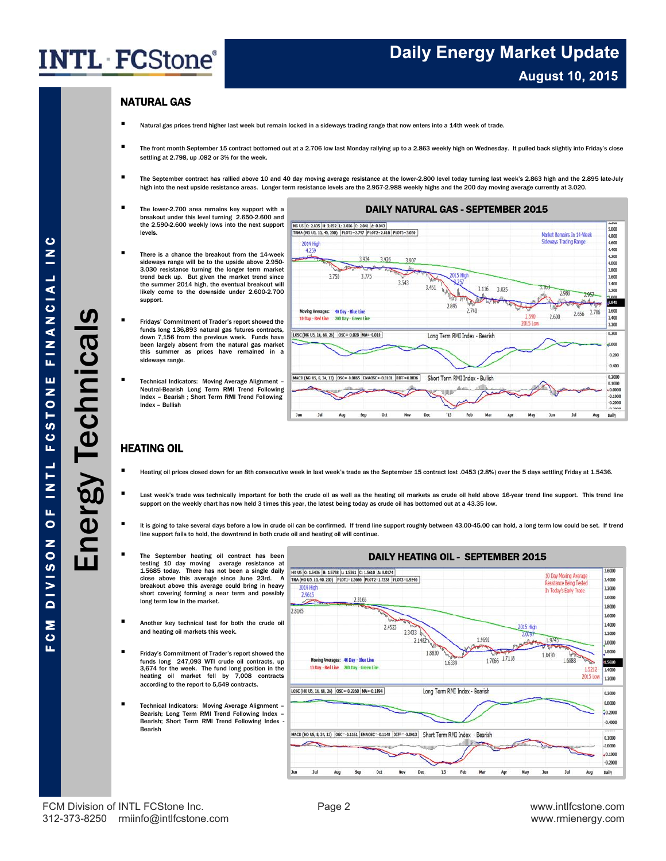## **Daily Energy Market Update August 10, 2015**

### NATURAL GAS

- Natural gas prices trend higher last week but remain locked in a sideways trading range that now enters into a 14th week of trade.
- The front month September 15 contract bottomed out at a 2.706 low last Monday rallying up to a 2.863 weekly high on Wednesday. It pulled back slightly into Friday's close settling at 2.798, up .082 or 3% for the week.
- The September contract has rallied above 10 and 40 day moving average resistance at the lower-2.800 level today turning last week's 2.863 high and the 2.895 late-July high into the next upside resistance areas. Longer term resistance levels are the 2.957-2.988 weekly highs and the 200 day moving average currently at 3.020.
- The lower-2.700 area remains key support with a breakout under this level turning 2.650-2.600 and the 2.590-2.600 weekly lows into the next support levels.
- There is a chance the breakout from the 14-week sideways range will be to the upside above 2.950- 3.030 resistance turning the longer term market trend back up. But given the market trend since the summer 2014 high, the eventual breakout will likely come to the downside under 2.600-2.700 support.
- Fridays' Commitment of Trader's report showed the funds long 136,893 natural gas futures contracts, down 7,156 from the previous week. Funds have been largely absent from the natural gas market this summer as prices have remained in a sideways range.
- Technical Indicators: Moving Average Alignment Neutral-Bearish Long Term RMI Trend Following Index – Bearish ; Short Term RMI Trend Following Index – Bullish



### HEATING OIL

- Heating oil prices closed down for an 8th consecutive week in last week's trade as the September 15 contract lost .0453 (2.8%) over the 5 days settling Friday at 1.5436.
- Last week's trade was technically important for both the crude oil as well as the heating oil markets as crude oil held above 16-year trend line support. This trend line support on the weekly chart has now held 3 times this year, the latest being today as crude oil has bottomed out at a 43.35 low.
- It is going to take several days before a low in crude oil can be confirmed. If trend line support roughly between 43.00-45.00 can hold, a long term low could be set. If trend line support fails to hold, the downtrend in both crude oil and heating oil will continue.
	- The September heating oil contract has been testing 10 day moving average resistance at 1.5685 today. There has not been a single daily close above this average since June 23rd. A breakout above this average could bring in heavy short covering forming a near term and possibly long term low in the market.
- Another key technical test for both the crude oil and heating oil markets this week.
- Friday's Commitment of Trader's report showed the funds long 247,093 WTI crude oil contracts, up 3,674 for the week. The fund long position in the heating oil market fell by 7,008 contracts according to the report to 5,549 contracts.
- Technical Indicators: Moving Average Alignment Bearish; Long Term RMI Trend Following Index – Bearish; Short Term RMI Trend Following Index -Bearish



 $\ddot{\mathbf{c}}$ 

ÎΕ.

Energy Technicals

 $\ddot{\mathbf{c}}$ 

FCM Division of INTL FCStone Inc. The Contract of Page 2 www.intlfcstone.com 312-373-8250 rmiinfo@intlfcstone.com www.rmienergy.com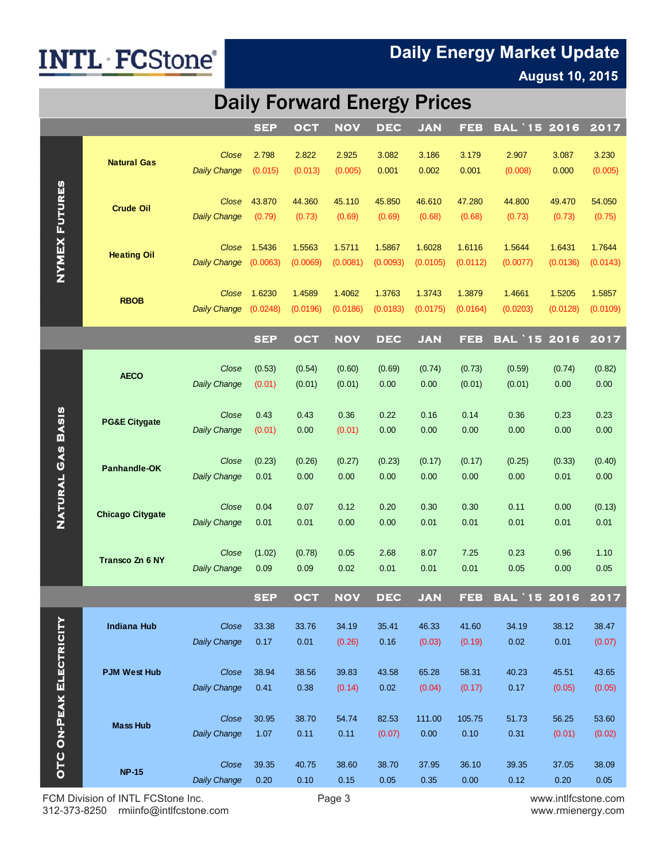# **Daily Energy Market Update**

### **August 10, 2015**

## **Daily Forward Energy Prices**

|                                |                                           |                              | <b>SEP</b>     | OCT            | <b>NOV</b>     | <b>DEC</b>     | <b>JAN</b>      | FEB             | <b>BAL '15 2016</b> |                | 2017           |
|--------------------------------|-------------------------------------------|------------------------------|----------------|----------------|----------------|----------------|-----------------|-----------------|---------------------|----------------|----------------|
| <b>NYMEX FUTURES</b>           |                                           | Close                        | 2.798          | 2.822          | 2.925          | 3.082          | 3.186           | 3.179           | 2.907               | 3.087          | 3.230          |
|                                | <b>Natural Gas</b>                        | <b>Daily Change</b>          | (0.015)        | (0.013)        | (0.005)        | 0.001          | 0.002           | 0.001           | (0.008)             | 0.000          | (0.005)        |
|                                |                                           |                              |                |                |                |                |                 |                 |                     |                |                |
|                                | <b>Crude Oil</b>                          | Close                        | 43.870         | 44.360         | 45.110         | 45.850         | 46.610          | 47.280          | 44.800              | 49.470         | 54.050         |
|                                |                                           | <b>Daily Change</b>          | (0.79)         | (0.73)         | (0.69)         | (0.69)         | (0.68)          | (0.68)          | (0.73)              | (0.73)         | (0.75)         |
|                                | <b>Heating Oil</b>                        | Close                        | 1.5436         | 1.5563         | 1.5711         | 1.5867         | 1.6028          | 1.6116          | 1.5644              | 1.6431         | 1.7644         |
|                                |                                           | <b>Daily Change</b>          | (0.0063)       | (0.0069)       | (0.0081)       | (0.0093)       | (0.0105)        | (0.0112)        | (0.0077)            | (0.0136)       | (0.0143)       |
|                                |                                           | Close                        | 1.6230         | 1.4589         | 1.4062         | 1.3763         | 1.3743          | 1.3879          | 1.4661              | 1.5205         | 1.5857         |
|                                | <b>RBOB</b>                               | <b>Daily Change</b>          | (0.0248)       | (0.0196)       | (0.0186)       | (0.0183)       | (0.0175)        | (0.0164)        | (0.0203)            | (0.0128)       | (0.0109)       |
|                                |                                           |                              |                |                |                |                |                 |                 |                     |                |                |
|                                |                                           |                              | <b>SEP</b>     | <b>OCT</b>     | <b>NOV</b>     | <b>DEC</b>     | <b>JAN</b>      | <b>FEB</b>      | <b>BAL 15</b>       | 2016           | 2017           |
|                                | <b>AECO</b>                               | Close                        | (0.53)         | (0.54)         | (0.60)         | (0.69)         | (0.74)          | (0.73)          | (0.59)              | (0.74)         | (0.82)         |
|                                |                                           | <b>Daily Change</b>          | (0.01)         | (0.01)         | (0.01)         | 0.00           | 0.00            | (0.01)          | (0.01)              | 0.00           | 0.00           |
|                                | <b>PG&amp;E Citygate</b>                  | Close                        | 0.43           | 0.43           | 0.36           | 0.22           | 0.16            | 0.14            | 0.36                | 0.23           | 0.23           |
|                                |                                           | <b>Daily Change</b>          | (0.01)         | 0.00           | (0.01)         | 0.00           | 0.00            | 0.00            | 0.00                | 0.00           | 0.00           |
|                                |                                           |                              |                |                |                |                |                 |                 |                     |                |                |
|                                | Panhandle-OK                              | Close<br><b>Daily Change</b> | (0.23)<br>0.01 | (0.26)<br>0.00 | (0.27)<br>0.00 | (0.23)<br>0.00 | (0.17)<br>0.00  | (0.17)<br>0.00  | (0.25)<br>0.00      | (0.33)<br>0.01 | (0.40)<br>0.00 |
| NATURAL GAS BASIS              |                                           |                              |                |                |                |                |                 |                 |                     |                |                |
|                                | <b>Chicago Citygate</b>                   | Close                        | 0.04           | 0.07           | 0.12           | 0.20           | 0.30            | 0.30            | 0.11                | 0.00           | (0.13)         |
|                                |                                           | <b>Daily Change</b>          | 0.01           | 0.01           | 0.00           | 0.00           | 0.01            | 0.01            | 0.01                | 0.01           | 0.01           |
|                                | Transco Zn 6 NY                           | Close                        | (1.02)         | (0.78)         | 0.05           | 2.68           | 8.07            | 7.25            | 0.23                | 0.96           | 1.10           |
|                                |                                           | <b>Daily Change</b>          | 0.09           | 0.09           | 0.02           | 0.01           | 0.01            | 0.01            | 0.05                | 0.00           | 0.05           |
|                                |                                           |                              | <b>SEP</b>     | <b>OCT</b>     | <b>NOV</b>     | <b>DEC</b>     | <b>JAN</b>      | FEB             | BAL '15 2016        |                | 2017           |
|                                |                                           |                              |                |                |                |                |                 |                 |                     |                |                |
|                                | <b>Indiana Hub</b><br><b>PJM West Hub</b> | Close<br><b>Daily Change</b> | 33.38<br>0.17  | 33.76<br>0.01  | 34.19          | 35.41<br>0.16  | 46.33<br>(0.03) | 41.60<br>(0.19) | 34.19<br>0.02       | 38.12<br>0.01  | 38.47          |
| <b>OTC ON-PEAK ELECTRICITY</b> |                                           |                              |                |                | (0.26)         |                |                 |                 |                     |                | (0.07)         |
|                                |                                           | Close                        | 38.94          | 38.56          | 39.83          | 43.58          | 65.28           | 58.31           | 40.23               | 45.51          | 43.65          |
|                                |                                           | <b>Daily Change</b>          | 0.41           | 0.38           | (0.14)         | 0.02           | (0.04)          | (0.17)          | 0.17                | (0.05)         | (0.05)         |
|                                |                                           | Close                        | 30.95          | 38.70          | 54.74          | 82.53          | 111.00          | 105.75          | 51.73               | 56.25          | 53.60          |
|                                | <b>Mass Hub</b>                           | <b>Daily Change</b>          | 1.07           | 0.11           | 0.11           | (0.07)         | 0.00            | 0.10            | 0.31                | (0.01)         | (0.02)         |
|                                | <b>NP-15</b>                              |                              |                |                |                |                |                 |                 |                     |                |                |
|                                |                                           | Close<br><b>Daily Change</b> | 39.35<br>0.20  | 40.75<br>0.10  | 38.60<br>0.15  | 38.70<br>0.05  | 37.95<br>0.35   | 36.10<br>0.00   | 39.35<br>0.12       | 37.05<br>0.20  | 38.09<br>0.05  |
|                                |                                           |                              |                |                |                |                |                 |                 |                     |                |                |

FCM Division of INTL FCStone Inc. <br>
312-373-8250 milinfo@intlfcstone.com entity rate and the Page 3 www.intlfcstone.com www.mienergy.com 312-373-8250 rmiinfo@intlfcstone.com